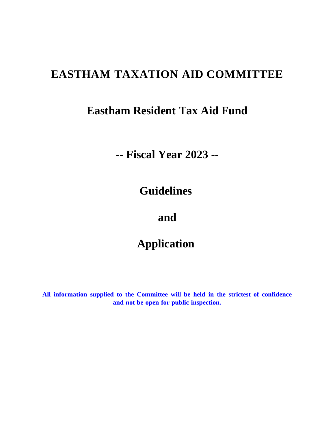# **EASTHAM TAXATION AID COMMITTEE**

## **Eastham Resident Tax Aid Fund**

## **-- Fiscal Year 2023 --**

## **Guidelines**

### **and**

## **Application**

**All information supplied to the Committee will be held in the strictest of confidence and not be open for public inspection.**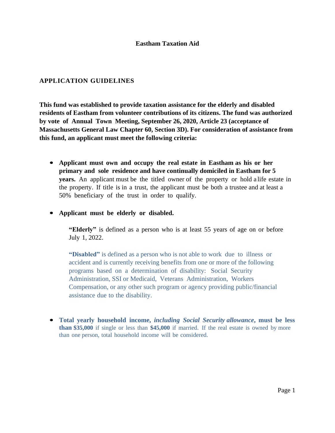#### **APPLICATION GUIDELINES**

**This fund was established to provide taxation assistance for the elderly and disabled residents of Eastham from volunteer contributions of its citizens. The fund was authorized by vote of Annual Town Meeting, September 26, 2020, Article 23 (acceptance of Massachusetts General Law Chapter 60, Section 3D). For consideration of assistance from this fund, an applicant must meet the following criteria:** 

- **Applicant must own and occupy the real estate in Eastham as his or her primary and sole residence and have continually domiciled in Eastham for 5 years.** An applicant must be the titled owner of the property or hold a life estate in the property. If title is in a trust, the applicant must be both a trustee and at least a 50% beneficiary of the trust in order to qualify.
- **Applicant must be elderly or disabled.**

**"Elderly"** is defined as a person who is at least 55 years of age on or before July 1, 2022.

**"Disabled"** is defined as a person who is not able to work due to illness or accident and is currently receiving benefits from one or more of the following programs based on a determination of disability: Social Security Administration, SSI or Medicaid, Veterans Administration, Workers Compensation, or any other such program or agency providing public/financial assistance due to the disability.

• **Total yearly household income,** *including Social Security allowance***, must be less than \$35,000** if single or less than **\$45,000** if married. If the real estate is owned by more than one person, total household income will be considered.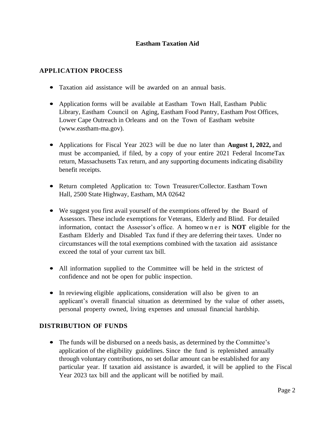#### **APPLICATION PROCESS**

- Taxation aid assistance will be awarded on an annual basis.
- Application forms will be available at Eastham Town Hall, Eastham Public Library, Eastham Council on Aging, Eastham Food Pantry, Eastham Post Offices, Lower Cape Outreach in Orleans and on the Town of Eastham website (www.eastham-ma.gov).
- Applications for Fiscal Year 2023 will be due no later than **August 1, 2022,** and must be accompanied, if filed, by a copy of your entire 2021 Federal IncomeTax return, Massachusetts Tax return, and any supporting documents indicating disability benefit receipts.
- Return completed Application to: Town Treasurer/Collector. Eastham Town Hall, 2500 State Highway, Eastham, MA 02642
- We suggest you first avail yourself of the exemptions offered by the Board of Assessors. These include exemptions for Veterans, Elderly and Blind. For detailed information, contact the Assessor's office. A homeo wn er is **NOT** eligible for the Eastham Elderly and Disabled Tax fund if they are deferring their taxes. Under no circumstances will the total exemptions combined with the taxation aid assistance exceed the total of your current tax bill.
- All information supplied to the Committee will be held in the strictest of confidence and not be open for public inspection.
- In reviewing eligible applications, consideration will also be given to an applicant's overall financial situation as determined by the value of other assets, personal property owned, living expenses and unusual financial hardship.

#### **DISTRIBUTION OF FUNDS**

• The funds will be disbursed on a needs basis, as determined by the Committee's application of the eligibility guidelines. Since the fund is replenished annually through voluntary contributions, no set dollar amount can be established for any particular year. If taxation aid assistance is awarded, it will be applied to the Fiscal Year 2023 tax bill and the applicant will be notified by mail.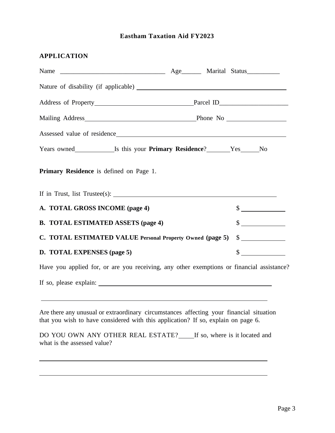### **APPLICATION**

| Mailing Address Phone No Phone No Phone No Phone No Phone No Phone No Phone No Phone No Phone No Phone No Phone No Phone No Phone No Phone No Phone No Phone No Phone No Phone No Phone No Phone No Phone No Phone No Phone No |                             |
|--------------------------------------------------------------------------------------------------------------------------------------------------------------------------------------------------------------------------------|-----------------------------|
|                                                                                                                                                                                                                                |                             |
| Years owned __________________Is this your Primary Residence? ________Yes______No                                                                                                                                              |                             |
| Primary Residence is defined on Page 1.                                                                                                                                                                                        |                             |
|                                                                                                                                                                                                                                |                             |
| A. TOTAL GROSS INCOME (page 4)                                                                                                                                                                                                 | $\frac{\text{S}}{\text{S}}$ |
| <b>B. TOTAL ESTIMATED ASSETS (page 4)</b>                                                                                                                                                                                      | $\frac{\text{S}}{\text{S}}$ |
| C. TOTAL ESTIMATED VALUE Personal Property Owned (page 5)                                                                                                                                                                      | $\frac{\sqrt{2}}{2}$        |
| D. TOTAL EXPENSES (page 5)                                                                                                                                                                                                     | $\frac{\text{S}}{\text{S}}$ |
| Have you applied for, or are you receiving, any other exemptions or financial assistance?                                                                                                                                      |                             |
|                                                                                                                                                                                                                                |                             |
|                                                                                                                                                                                                                                |                             |
| Are there any unusual or extraordinary circumstances affecting your financial situation<br>that you wish to have considered with this application? If so, explain on page 6.                                                   |                             |
| DO YOU OWN ANY OTHER REAL ESTATE? If so, where is it located and<br>what is the assessed value?                                                                                                                                |                             |
|                                                                                                                                                                                                                                |                             |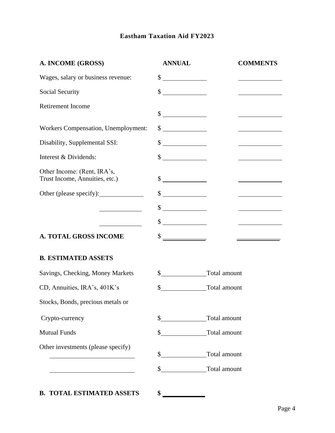| A. INCOME (GROSS)                                                                                                    | <b>ANNUAL</b>                                                                                                                                                                                                                                                                                                                                       | <b>COMMENTS</b>                     |
|----------------------------------------------------------------------------------------------------------------------|-----------------------------------------------------------------------------------------------------------------------------------------------------------------------------------------------------------------------------------------------------------------------------------------------------------------------------------------------------|-------------------------------------|
| Wages, salary or business revenue:                                                                                   | $\frac{\text{S}}{\text{S}}$                                                                                                                                                                                                                                                                                                                         |                                     |
| Social Security                                                                                                      | $\frac{\sqrt{2}}{2}$                                                                                                                                                                                                                                                                                                                                |                                     |
| <b>Retirement Income</b>                                                                                             | $\begin{picture}(20,20) \put(0,0){\line(1,0){10}} \put(15,0){\line(1,0){10}} \put(15,0){\line(1,0){10}} \put(15,0){\line(1,0){10}} \put(15,0){\line(1,0){10}} \put(15,0){\line(1,0){10}} \put(15,0){\line(1,0){10}} \put(15,0){\line(1,0){10}} \put(15,0){\line(1,0){10}} \put(15,0){\line(1,0){10}} \put(15,0){\line(1,0){10}} \put(15,0){\line(1$ |                                     |
| <b>Workers Compensation</b> , Unemployment:                                                                          | $\frac{\text{S}}{\text{S}}$                                                                                                                                                                                                                                                                                                                         |                                     |
| Disability, Supplemental SSI:                                                                                        | $\frac{\text{S}}{\text{S}}$                                                                                                                                                                                                                                                                                                                         | <u> 1990 - Johann Barbara, mart</u> |
| Interest & Dividends:                                                                                                | $\begin{picture}(25,20) \put(0,0){\line(1,0){10}} \put(15,0){\line(1,0){10}} \put(15,0){\line(1,0){10}} \put(15,0){\line(1,0){10}} \put(15,0){\line(1,0){10}} \put(15,0){\line(1,0){10}} \put(15,0){\line(1,0){10}} \put(15,0){\line(1,0){10}} \put(15,0){\line(1,0){10}} \put(15,0){\line(1,0){10}} \put(15,0){\line(1,0){10}} \put(15,0){\line(1$ |                                     |
| Other Income: (Rent, IRA's,<br>Trust Income, Annuities, etc.)                                                        | $\frac{\text{S}}{\text{S}}$                                                                                                                                                                                                                                                                                                                         |                                     |
|                                                                                                                      | $\sim$                                                                                                                                                                                                                                                                                                                                              |                                     |
| <u> 1990 - Johann Barbara, martxa</u>                                                                                | $\frac{\text{S}}{\text{S}}$                                                                                                                                                                                                                                                                                                                         |                                     |
| <u> 1980 - Johann Barbara, martxa a</u>                                                                              | $\frac{\sqrt{2}}{2}$                                                                                                                                                                                                                                                                                                                                |                                     |
| <b>A. TOTAL GROSS INCOME</b>                                                                                         |                                                                                                                                                                                                                                                                                                                                                     |                                     |
| <b>B. ESTIMATED ASSETS</b>                                                                                           |                                                                                                                                                                                                                                                                                                                                                     |                                     |
| Savings, Checking, Money Markets                                                                                     |                                                                                                                                                                                                                                                                                                                                                     |                                     |
| CD, Annuities, IRA's, 401K's                                                                                         | <b>Total amount</b><br>\$                                                                                                                                                                                                                                                                                                                           |                                     |
| Stocks, Bonds, precious metals or                                                                                    |                                                                                                                                                                                                                                                                                                                                                     |                                     |
| Crypto-currency                                                                                                      | $\sim$                                                                                                                                                                                                                                                                                                                                              | Total amount                        |
| <b>Mutual Funds</b>                                                                                                  |                                                                                                                                                                                                                                                                                                                                                     |                                     |
| Other investments (please specify)                                                                                   | \$ Total amount                                                                                                                                                                                                                                                                                                                                     |                                     |
| <u> 1989 - Johann Barn, mars ann an t-Amhain Aonaich an t-Aonaich an t-Aonaich ann an t-Aonaich ann an t-Aonaich</u> | \$ Total amount                                                                                                                                                                                                                                                                                                                                     |                                     |
|                                                                                                                      |                                                                                                                                                                                                                                                                                                                                                     |                                     |

**B. TOTAL ESTIMATED ASSETS \$**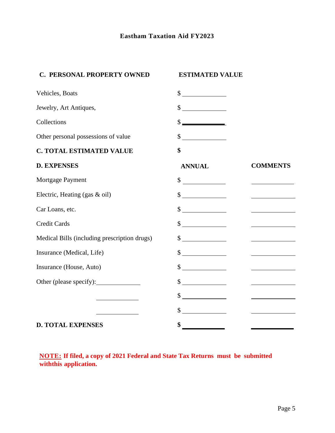| C. PERSONAL PROPERTY OWNED                   | <b>ESTIMATED VALUE</b>                                      |                                                                     |
|----------------------------------------------|-------------------------------------------------------------|---------------------------------------------------------------------|
| Vehicles, Boats                              | $\frac{\sqrt{2}}{2}$                                        |                                                                     |
| Jewelry, Art Antiques,                       | $\frac{\sqrt{2}}{2}$                                        |                                                                     |
| Collections                                  | $\begin{array}{c}\n\circ \\ \bullet \\ \hline\n\end{array}$ |                                                                     |
| Other personal possessions of value          | $\frac{1}{2}$                                               |                                                                     |
| <b>C. TOTAL ESTIMATED VALUE</b>              | \$                                                          |                                                                     |
| <b>D. EXPENSES</b>                           | <b>ANNUAL</b>                                               | <b>COMMENTS</b>                                                     |
| Mortgage Payment                             | $\qquad \qquad \bullet$                                     |                                                                     |
| Electric, Heating (gas & oil)                | $\qquad \qquad \bullet$                                     |                                                                     |
| Car Loans, etc.                              | $\frac{\text{S}}{\text{S}}$                                 |                                                                     |
| <b>Credit Cards</b>                          | $\frac{\text{S}}{\text{S}}$                                 |                                                                     |
| Medical Bills (including prescription drugs) | $\frac{\text{S}}{\text{S}}$                                 |                                                                     |
| Insurance (Medical, Life)                    | $\frac{1}{2}$                                               |                                                                     |
| Insurance (House, Auto)                      | $\frac{1}{2}$                                               | $\overline{\phantom{a}}$ . The contract of $\overline{\phantom{a}}$ |
| Other (please specify):                      | $\sim$                                                      |                                                                     |
| the control of the control of the control of | $\sim$                                                      |                                                                     |
|                                              | $\frac{\text{S}}{\text{S}}$                                 |                                                                     |
| <b>D. TOTAL EXPENSES</b>                     | \$                                                          |                                                                     |

**NOTE: If filed, a copy of 2021 Federal and State Tax Returns must be submitted withthis application.**